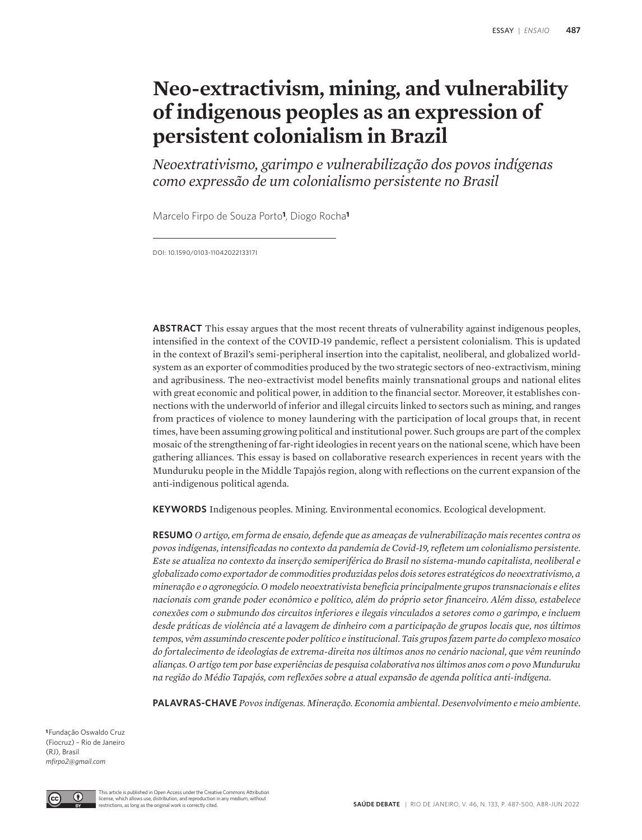# **Neo-extractivism, mining, and vulnerability of indigenous peoples as an expression of persistent colonialism in Brazil**

*Neoextrativismo, garimpo e vulnerabilização dos povos indígenas como expressão de um colonialismo persistente no Brasil*

Marcelo Firpo de Souza Porto**1**, Diogo Rocha**<sup>1</sup>**

DOI: 10.1590/0103-1104202213317I

**ABSTRACT** This essay argues that the most recent threats of vulnerability against indigenous peoples, intensified in the context of the COVID-19 pandemic, reflect a persistent colonialism. This is updated in the context of Brazil's semi-peripheral insertion into the capitalist, neoliberal, and globalized worldsystem as an exporter of commodities produced by the two strategic sectors of neo-extractivism, mining and agribusiness. The neo-extractivist model benefits mainly transnational groups and national elites with great economic and political power, in addition to the financial sector. Moreover, it establishes connections with the underworld of inferior and illegal circuits linked to sectors such as mining, and ranges from practices of violence to money laundering with the participation of local groups that, in recent times, have been assuming growing political and institutional power. Such groups are part of the complex mosaic of the strengthening of far-right ideologies in recent years on the national scene, which have been gathering alliances. This essay is based on collaborative research experiences in recent years with the Munduruku people in the Middle Tapajós region, along with reflections on the current expansion of the anti-indigenous political agenda.

**KEYWORDS** Indigenous peoples. Mining. Environmental economics. Ecological development.

**RESUMO** *O artigo, em forma de ensaio, defende que as ameaças de vulnerabilização mais recentes contra os povos indígenas, intensificadas no contexto da pandemia de Covid-19, refletem um colonialismo persistente. Este se atualiza no contexto da inserção semiperiférica do Brasil no sistema-mundo capitalista, neoliberal e globalizado como exportador de commodities produzidas pelos dois setores estratégicos do neoextrativismo, a mineração e o agronegócio. O modelo neoextrativista beneficia principalmente grupos transnacionais e elites nacionais com grande poder econômico e político, além do próprio setor financeiro. Além disso, estabelece conexões com o submundo dos circuitos inferiores e ilegais vinculados a setores como o garimpo, e incluem desde práticas de violência até a lavagem de dinheiro com a participação de grupos locais que, nos últimos tempos, vêm assumindo crescente poder político e institucional. Tais grupos fazem parte do complexo mosaico do fortalecimento de ideologias de extrema-direita nos últimos anos no cenário nacional, que vêm reunindo alianças. O artigo tem por base experiências de pesquisa colaborativa nos últimos anos com o povo Munduruku na região do Médio Tapajós, com reflexões sobre a atual expansão de agenda política anti-indígena.*

**PALAVRAS-CHAVE** *Povos indígenas. Mineração. Economia ambiental. Desenvolvimento e meio ambiente.* 

**<sup>1</sup>**Fundação Oswaldo Cruz (Fiocruz) – Rio de Janeiro (RJ), Brasil *mfirpo2@gmail.com*

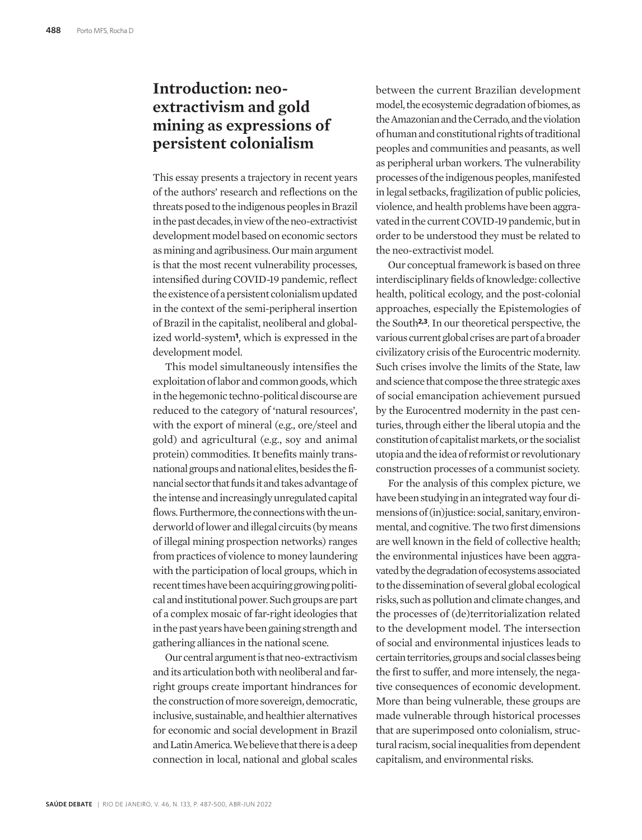#### **Introduction: neoextractivism and gold mining as expressions of persistent colonialism**

This essay presents a trajectory in recent years of the authors' research and reflections on the threats posed to the indigenous peoples in Brazil in the past decades, in view of the neo-extractivist development model based on economic sectors as mining and agribusiness. Our main argument is that the most recent vulnerability processes, intensified during COVID-19 pandemic, reflect the existence of a persistent colonialism updated in the context of the semi-peripheral insertion of Brazil in the capitalist, neoliberal and globalized world-system**1**, which is expressed in the development model.

This model simultaneously intensifies the exploitation of labor and common goods, which in the hegemonic techno-political discourse are reduced to the category of 'natural resources', with the export of mineral (e.g., ore/steel and gold) and agricultural (e.g., soy and animal protein) commodities. It benefits mainly transnational groups and national elites, besides the financial sector that funds it and takes advantage of the intense and increasingly unregulated capital flows. Furthermore, the connections with the underworld of lower and illegal circuits (by means of illegal mining prospection networks) ranges from practices of violence to money laundering with the participation of local groups, which in recent times have been acquiring growing political and institutional power. Such groups are part of a complex mosaic of far-right ideologies that in the past years have been gaining strength and gathering alliances in the national scene.

Our central argument is that neo-extractivism and its articulation both with neoliberal and farright groups create important hindrances for the construction of more sovereign, democratic, inclusive, sustainable, and healthier alternatives for economic and social development in Brazil and Latin America. We believe that there is a deep connection in local, national and global scales

between the current Brazilian development model, the ecosystemic degradation of biomes, as the Amazonian and the Cerrado, and the violation of human and constitutional rights of traditional peoples and communities and peasants, as well as peripheral urban workers. The vulnerability processes of the indigenous peoples, manifested in legal setbacks, fragilization of public policies, violence, and health problems have been aggravated in the current COVID-19 pandemic, but in order to be understood they must be related to the neo-extractivist model.

Our conceptual framework is based on three interdisciplinary fields of knowledge: collective health, political ecology, and the post-colonial approaches, especially the Epistemologies of the South**2,3**. In our theoretical perspective, the various current global crises are part of a broader civilizatory crisis of the Eurocentric modernity. Such crises involve the limits of the State, law and science that compose the three strategic axes of social emancipation achievement pursued by the Eurocentred modernity in the past centuries, through either the liberal utopia and the constitution of capitalist markets, or the socialist utopia and the idea of reformist or revolutionary construction processes of a communist society.

For the analysis of this complex picture, we have been studying in an integrated way four dimensions of (in)justice: social, sanitary, environmental, and cognitive. The two first dimensions are well known in the field of collective health; the environmental injustices have been aggravated by the degradation of ecosystems associated to the dissemination of several global ecological risks, such as pollution and climate changes, and the processes of (de)territorialization related to the development model. The intersection of social and environmental injustices leads to certain territories, groups and social classes being the first to suffer, and more intensely, the negative consequences of economic development. More than being vulnerable, these groups are made vulnerable through historical processes that are superimposed onto colonialism, structural racism, social inequalities from dependent capitalism, and environmental risks.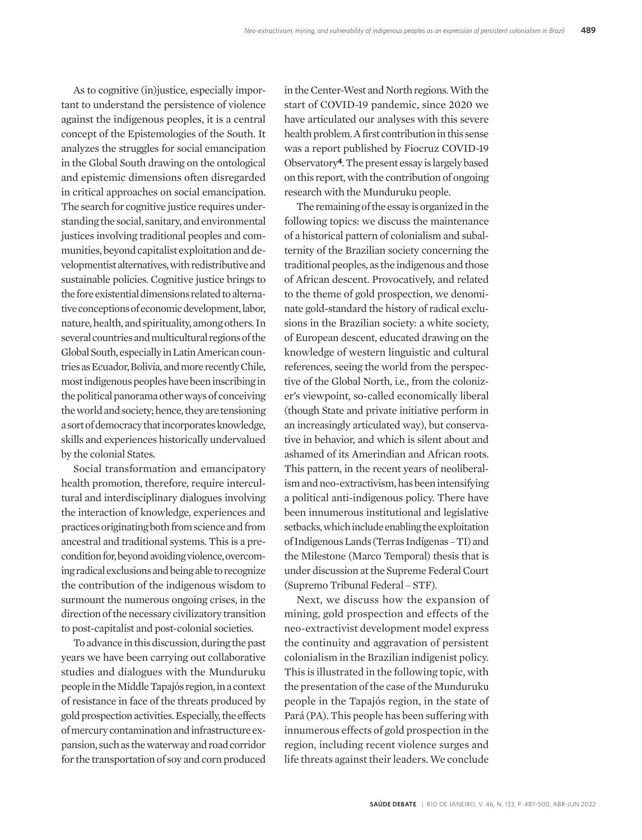As to cognitive (in) justice, especially important to understand the persistence of violence against the indigenous peoples, it is a central concept of the Epistemologies of the South. It analyzes the struggles for social emancipation in the Global South drawing on the ontological and epistemic dimensions often disregarded in critical approaches on social emancipation. The search for cognitive justice requires understanding the social, sanitary, and environmental justices involving traditional peoples and communities, beyond capitalist exploitation and developmentist alternatives, with redistributive and sustainable policies. Cognitive justice brings to the fore existential dimensions related to alternative conceptions of economic development, labor, nature, health, and spirituality, among others. In several countries and multicultural regions of the Global South, especially in Latin American countries as Ecuador, Bolivia, and more recently Chile, most indigenous peoples have been inscribing in the political panorama other ways of conceiving the world and society; hence, they are tensioning a sort of democracy that incorporates knowledge, skills and experiences historically undervalued by the colonial States.

Social transformation and emancipatory health promotion, therefore, require intercultural and interdisciplinary dialogues involving the interaction of knowledge, experiences and practices originating both from science and from ancestral and traditional systems. This is a precondition for, beyond avoiding violence, overcoming radical exclusions and being able to recognize the contribution of the indigenous wisdom to surmount the numerous ongoing crises, in the direction of the necessary civilizatory transition to post-capitalist and post-colonial societies.

To advance in this discussion, during the past years we have been carrying out collaborative studies and dialogues with the Munduruku people in the Middle Tapajós region, in a context of resistance in face of the threats produced by gold prospection activities. Especially, the effects of mercury contamination and infrastructure expansion, such as the waterway and road corridor for the transportation of soy and corn produced

in the Center-West and North regions. With the start of COVID-19 pandemic, since 2020 we have articulated our analyses with this severe health problem. A first contribution in this sense was a report published by Fiocruz COVID-19 Observatory**4**. The present essay is largely based on this report, with the contribution of ongoing research with the Munduruku people.

The remaining of the essay is organized in the following topics: we discuss the maintenance of a historical pattern of colonialism and subalternity of the Brazilian society concerning the traditional peoples, as the indigenous and those of African descent. Provocatively, and related to the theme of gold prospection, we denominate gold-standard the history of radical exclusions in the Brazilian society: a white society, of European descent, educated drawing on the knowledge of western linguistic and cultural references, seeing the world from the perspective of the Global North, i.e., from the colonizer's viewpoint, so-called economically liberal (though State and private initiative perform in an increasingly articulated way), but conservative in behavior, and which is silent about and ashamed of its Amerindian and African roots. This pattern, in the recent years of neoliberalism and neo-extractivism, has been intensifying a political anti-indigenous policy. There have been innumerous institutional and legislative setbacks, which include enabling the exploitation of Indigenous Lands (Terras Indígenas ‒ TI) and the Milestone (Marco Temporal) thesis that is under discussion at the Supreme Federal Court (Supremo Tribunal Federal ‒ STF).

Next, we discuss how the expansion of mining, gold prospection and effects of the neo-extractivist development model express the continuity and aggravation of persistent colonialism in the Brazilian indigenist policy. This is illustrated in the following topic, with the presentation of the case of the Munduruku people in the Tapajós region, in the state of Pará (PA). This people has been suffering with innumerous effects of gold prospection in the region, including recent violence surges and life threats against their leaders. We conclude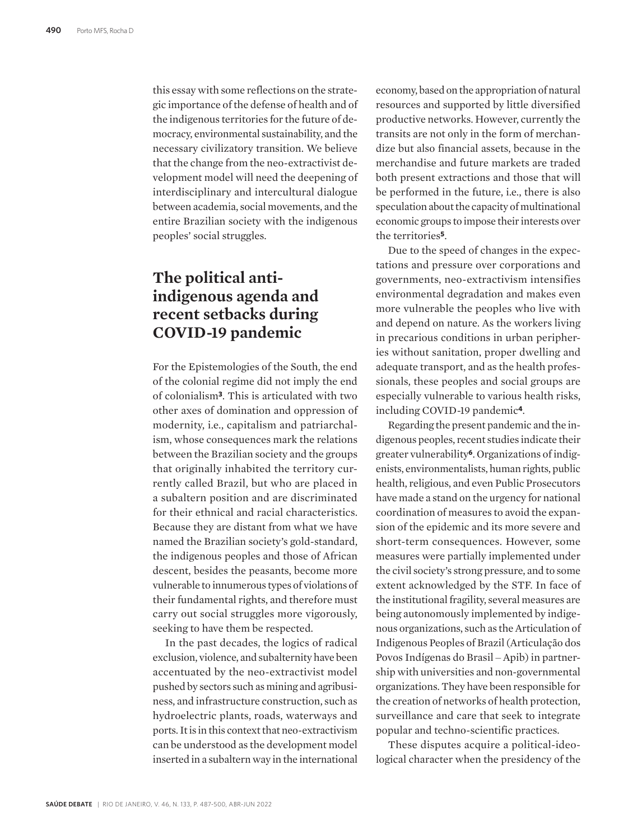this essay with some reflections on the strategic importance of the defense of health and of the indigenous territories for the future of democracy, environmental sustainability, and the necessary civilizatory transition. We believe that the change from the neo-extractivist development model will need the deepening of interdisciplinary and intercultural dialogue between academia, social movements, and the entire Brazilian society with the indigenous peoples' social struggles.

## **The political antiindigenous agenda and recent setbacks during COVID-19 pandemic**

For the Epistemologies of the South, the end of the colonial regime did not imply the end of colonialism**3**. This is articulated with two other axes of domination and oppression of modernity, i.e., capitalism and patriarchalism, whose consequences mark the relations between the Brazilian society and the groups that originally inhabited the territory currently called Brazil, but who are placed in a subaltern position and are discriminated for their ethnical and racial characteristics. Because they are distant from what we have named the Brazilian society's gold-standard, the indigenous peoples and those of African descent, besides the peasants, become more vulnerable to innumerous types of violations of their fundamental rights, and therefore must carry out social struggles more vigorously, seeking to have them be respected.

In the past decades, the logics of radical exclusion, violence, and subalternity have been accentuated by the neo-extractivist model pushed by sectors such as mining and agribusiness, and infrastructure construction, such as hydroelectric plants, roads, waterways and ports. It is in this context that neo-extractivism can be understood as the development model inserted in a subaltern way in the international economy, based on the appropriation of natural resources and supported by little diversified productive networks. However, currently the transits are not only in the form of merchandize but also financial assets, because in the merchandise and future markets are traded both present extractions and those that will be performed in the future, i.e., there is also speculation about the capacity of multinational economic groups to impose their interests over the territories**5**.

Due to the speed of changes in the expectations and pressure over corporations and governments, neo-extractivism intensifies environmental degradation and makes even more vulnerable the peoples who live with and depend on nature. As the workers living in precarious conditions in urban peripheries without sanitation, proper dwelling and adequate transport, and as the health professionals, these peoples and social groups are especially vulnerable to various health risks, including COVID-19 pandemic**4**.

Regarding the present pandemic and the indigenous peoples, recent studies indicate their greater vulnerability**6**. Organizations of indigenists, environmentalists, human rights, public health, religious, and even Public Prosecutors have made a stand on the urgency for national coordination of measures to avoid the expansion of the epidemic and its more severe and short-term consequences. However, some measures were partially implemented under the civil society's strong pressure, and to some extent acknowledged by the STF. In face of the institutional fragility, several measures are being autonomously implemented by indigenous organizations, such as the Articulation of Indigenous Peoples of Brazil (Articulação dos Povos Indígenas do Brasil ‒ Apib) in partnership with universities and non-governmental organizations. They have been responsible for the creation of networks of health protection, surveillance and care that seek to integrate popular and techno-scientific practices.

These disputes acquire a political-ideological character when the presidency of the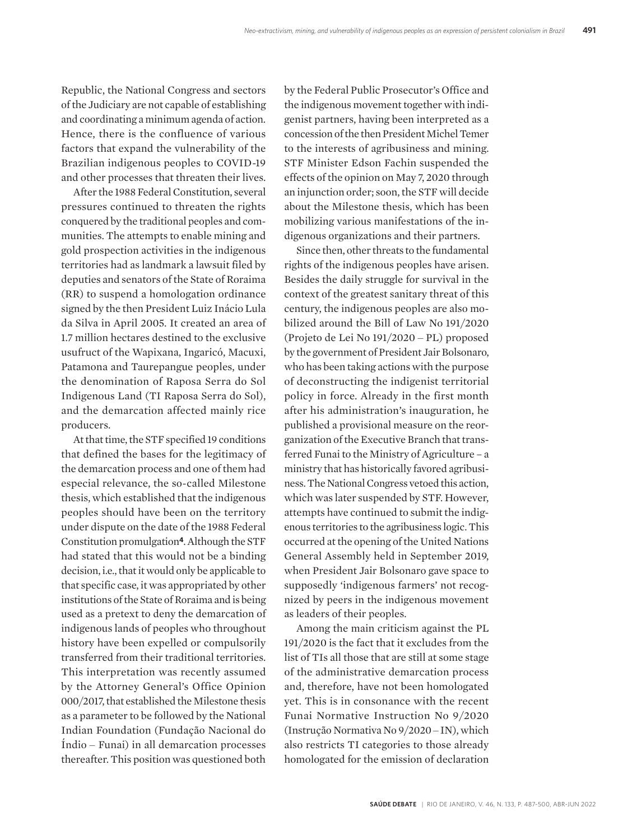Republic, the National Congress and sectors of the Judiciary are not capable of establishing and coordinating a minimum agenda of action. Hence, there is the confluence of various factors that expand the vulnerability of the Brazilian indigenous peoples to COVID-19 and other processes that threaten their lives.

After the 1988 Federal Constitution, several pressures continued to threaten the rights conquered by the traditional peoples and communities. The attempts to enable mining and gold prospection activities in the indigenous territories had as landmark a lawsuit filed by deputies and senators of the State of Roraima (RR) to suspend a homologation ordinance signed by the then President Luiz Inácio Lula da Silva in April 2005. It created an area of 1.7 million hectares destined to the exclusive usufruct of the Wapixana, Ingaricó, Macuxi, Patamona and Taurepangue peoples, under the denomination of Raposa Serra do Sol Indigenous Land (TI Raposa Serra do Sol), and the demarcation affected mainly rice producers.

At that time, the STF specified 19 conditions that defined the bases for the legitimacy of the demarcation process and one of them had especial relevance, the so-called Milestone thesis, which established that the indigenous peoples should have been on the territory under dispute on the date of the 1988 Federal Constitution promulgation**4**. Although the STF had stated that this would not be a binding decision, i.e., that it would only be applicable to that specific case, it was appropriated by other institutions of the State of Roraima and is being used as a pretext to deny the demarcation of indigenous lands of peoples who throughout history have been expelled or compulsorily transferred from their traditional territories. This interpretation was recently assumed by the Attorney General's Office Opinion 000/2017, that established the Milestone thesis as a parameter to be followed by the National Indian Foundation (Fundação Nacional do Índio ‒ Funai) in all demarcation processes thereafter. This position was questioned both

by the Federal Public Prosecutor's Office and the indigenous movement together with indigenist partners, having been interpreted as a concession of the then President Michel Temer to the interests of agribusiness and mining. STF Minister Edson Fachin suspended the effects of the opinion on May 7, 2020 through an injunction order; soon, the STF will decide about the Milestone thesis, which has been mobilizing various manifestations of the indigenous organizations and their partners.

Since then, other threats to the fundamental rights of the indigenous peoples have arisen. Besides the daily struggle for survival in the context of the greatest sanitary threat of this century, the indigenous peoples are also mobilized around the Bill of Law No 191/2020 (Projeto de Lei No 191/2020 ‒ PL) proposed by the government of President Jair Bolsonaro, who has been taking actions with the purpose of deconstructing the indigenist territorial policy in force. Already in the first month after his administration's inauguration, he published a provisional measure on the reorganization of the Executive Branch that transferred Funai to the Ministry of Agriculture – a ministry that has historically favored agribusiness. The National Congress vetoed this action, which was later suspended by STF. However, attempts have continued to submit the indigenous territories to the agribusiness logic. This occurred at the opening of the United Nations General Assembly held in September 2019, when President Jair Bolsonaro gave space to supposedly 'indigenous farmers' not recognized by peers in the indigenous movement as leaders of their peoples.

Among the main criticism against the PL 191/2020 is the fact that it excludes from the list of TIs all those that are still at some stage of the administrative demarcation process and, therefore, have not been homologated yet. This is in consonance with the recent Funai Normative Instruction No 9/2020 (Instrução Normativa No 9/2020 ‒ IN), which also restricts TI categories to those already homologated for the emission of declaration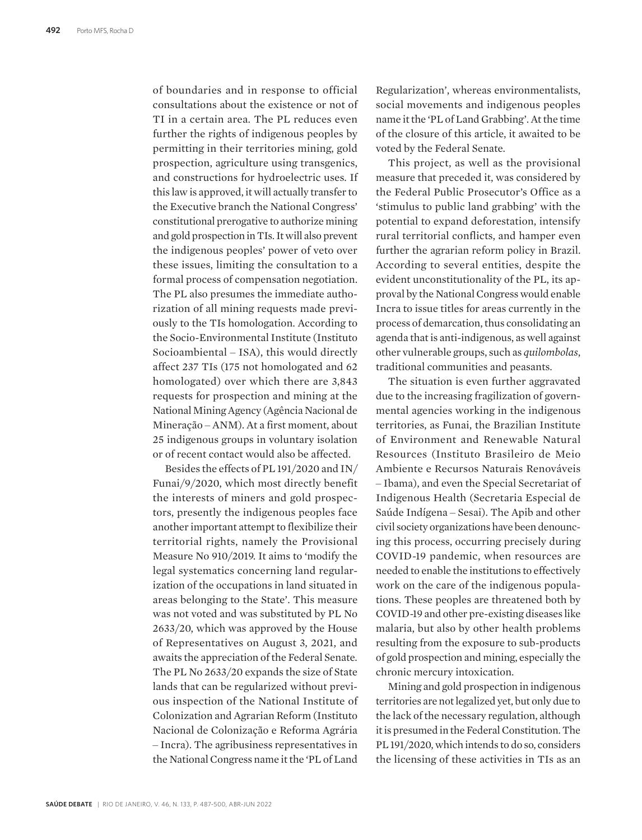of boundaries and in response to official consultations about the existence or not of TI in a certain area. The PL reduces even further the rights of indigenous peoples by permitting in their territories mining, gold prospection, agriculture using transgenics, and constructions for hydroelectric uses. If this law is approved, it will actually transfer to the Executive branch the National Congress' constitutional prerogative to authorize mining and gold prospection in TIs. It will also prevent the indigenous peoples' power of veto over these issues, limiting the consultation to a formal process of compensation negotiation. The PL also presumes the immediate authorization of all mining requests made previously to the TIs homologation. According to the Socio-Environmental Institute (Instituto Socioambiental ‒ ISA), this would directly affect 237 TIs (175 not homologated and 62 homologated) over which there are 3,843 requests for prospection and mining at the National Mining Agency (Agência Nacional de Mineração ‒ ANM). At a first moment, about 25 indigenous groups in voluntary isolation or of recent contact would also be affected.

Besides the effects of PL 191/2020 and IN/ Funai/9/2020, which most directly benefit the interests of miners and gold prospectors, presently the indigenous peoples face another important attempt to flexibilize their territorial rights, namely the Provisional Measure No 910/2019. It aims to 'modify the legal systematics concerning land regularization of the occupations in land situated in areas belonging to the State'. This measure was not voted and was substituted by PL No 2633/20, which was approved by the House of Representatives on August 3, 2021, and awaits the appreciation of the Federal Senate. The PL No 2633/20 expands the size of State lands that can be regularized without previous inspection of the National Institute of Colonization and Agrarian Reform (Instituto Nacional de Colonização e Reforma Agrária ‒ Incra). The agribusiness representatives in the National Congress name it the 'PL of Land

Regularization', whereas environmentalists, social movements and indigenous peoples name it the 'PL of Land Grabbing'. At the time of the closure of this article, it awaited to be voted by the Federal Senate.

This project, as well as the provisional measure that preceded it, was considered by the Federal Public Prosecutor's Office as a 'stimulus to public land grabbing' with the potential to expand deforestation, intensify rural territorial conflicts, and hamper even further the agrarian reform policy in Brazil. According to several entities, despite the evident unconstitutionality of the PL, its approval by the National Congress would enable Incra to issue titles for areas currently in the process of demarcation, thus consolidating an agenda that is anti-indigenous, as well against other vulnerable groups, such as *quilombolas*, traditional communities and peasants.

The situation is even further aggravated due to the increasing fragilization of governmental agencies working in the indigenous territories, as Funai, the Brazilian Institute of Environment and Renewable Natural Resources (Instituto Brasileiro de Meio Ambiente e Recursos Naturais Renováveis ‒ Ibama), and even the Special Secretariat of Indigenous Health (Secretaria Especial de Saúde Indígena - Sesai). The Apib and other civil society organizations have been denouncing this process, occurring precisely during COVID-19 pandemic, when resources are needed to enable the institutions to effectively work on the care of the indigenous populations. These peoples are threatened both by COVID-19 and other pre-existing diseases like malaria, but also by other health problems resulting from the exposure to sub-products of gold prospection and mining, especially the chronic mercury intoxication.

Mining and gold prospection in indigenous territories are not legalized yet, but only due to the lack of the necessary regulation, although it is presumed in the Federal Constitution. The PL 191/2020, which intends to do so, considers the licensing of these activities in TIs as an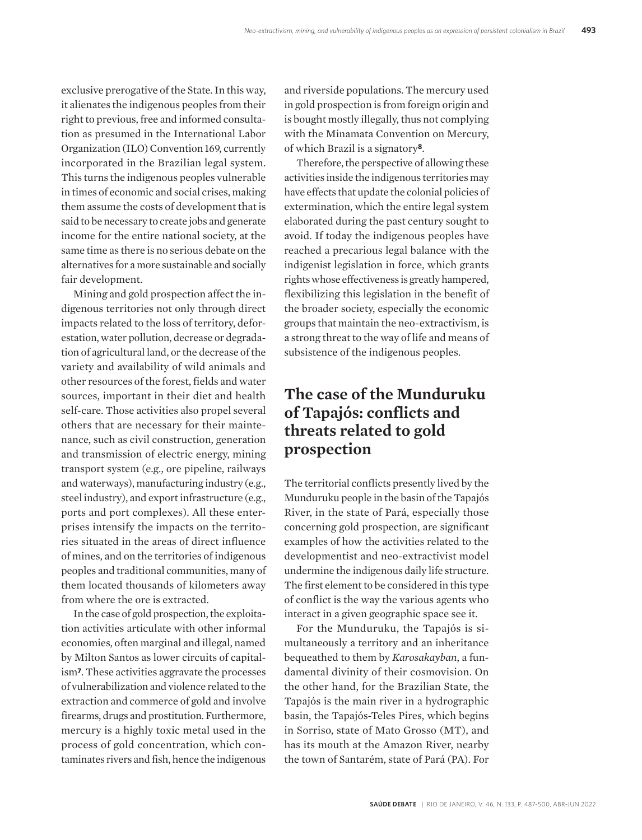exclusive prerogative of the State. In this way, it alienates the indigenous peoples from their right to previous, free and informed consultation as presumed in the International Labor Organization (ILO) Convention 169, currently incorporated in the Brazilian legal system. This turns the indigenous peoples vulnerable in times of economic and social crises, making them assume the costs of development that is said to be necessary to create jobs and generate income for the entire national society, at the same time as there is no serious debate on the alternatives for a more sustainable and socially fair development.

Mining and gold prospection affect the indigenous territories not only through direct impacts related to the loss of territory, deforestation, water pollution, decrease or degradation of agricultural land, or the decrease of the variety and availability of wild animals and other resources of the forest, fields and water sources, important in their diet and health self-care. Those activities also propel several others that are necessary for their maintenance, such as civil construction, generation and transmission of electric energy, mining transport system (e.g., ore pipeline, railways and waterways), manufacturing industry (e.g., steel industry), and export infrastructure (e.g., ports and port complexes). All these enterprises intensify the impacts on the territories situated in the areas of direct influence of mines, and on the territories of indigenous peoples and traditional communities, many of them located thousands of kilometers away from where the ore is extracted.

In the case of gold prospection, the exploitation activities articulate with other informal economies, often marginal and illegal, named by Milton Santos as lower circuits of capitalism**7**. These activities aggravate the processes of vulnerabilization and violence related to the extraction and commerce of gold and involve firearms, drugs and prostitution. Furthermore, mercury is a highly toxic metal used in the process of gold concentration, which contaminates rivers and fish, hence the indigenous

and riverside populations. The mercury used in gold prospection is from foreign origin and is bought mostly illegally, thus not complying with the Minamata Convention on Mercury, of which Brazil is a signatory**8**.

Therefore, the perspective of allowing these activities inside the indigenous territories may have effects that update the colonial policies of extermination, which the entire legal system elaborated during the past century sought to avoid. If today the indigenous peoples have reached a precarious legal balance with the indigenist legislation in force, which grants rights whose effectiveness is greatly hampered, flexibilizing this legislation in the benefit of the broader society, especially the economic groups that maintain the neo-extractivism, is a strong threat to the way of life and means of subsistence of the indigenous peoples.

### **The case of the Munduruku of Tapajós: conflicts and threats related to gold prospection**

The territorial conflicts presently lived by the Munduruku people in the basin of the Tapajós River, in the state of Pará, especially those concerning gold prospection, are significant examples of how the activities related to the developmentist and neo-extractivist model undermine the indigenous daily life structure. The first element to be considered in this type of conflict is the way the various agents who interact in a given geographic space see it.

For the Munduruku, the Tapajós is simultaneously a territory and an inheritance bequeathed to them by *Karosakayban*, a fundamental divinity of their cosmovision. On the other hand, for the Brazilian State, the Tapajós is the main river in a hydrographic basin, the Tapajós-Teles Pires, which begins in Sorriso, state of Mato Grosso (MT), and has its mouth at the Amazon River, nearby the town of Santarém, state of Pará (PA). For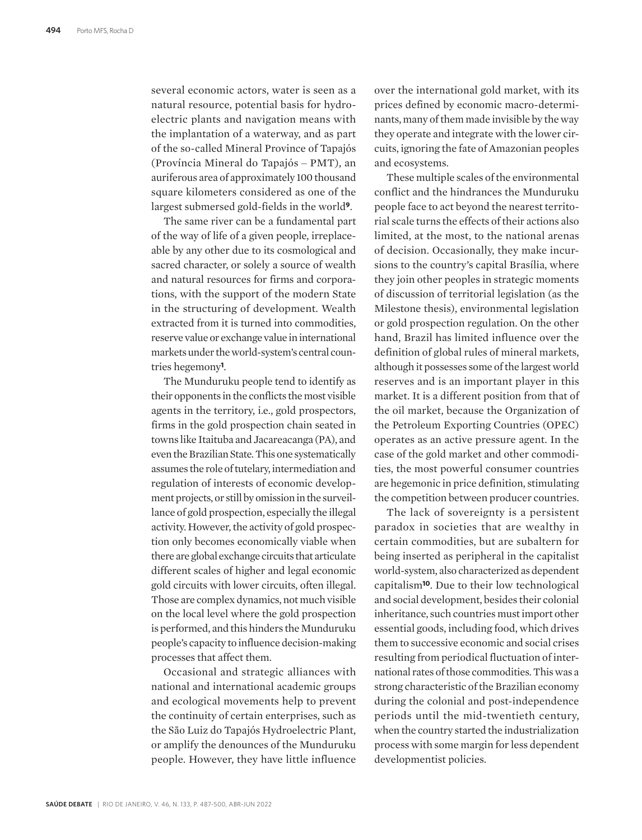several economic actors, water is seen as a natural resource, potential basis for hydroelectric plants and navigation means with the implantation of a waterway, and as part of the so-called Mineral Province of Tapajós (Província Mineral do Tapajós ‒ PMT), an auriferous area of approximately 100 thousand square kilometers considered as one of the largest submersed gold-fields in the world**9**.

The same river can be a fundamental part of the way of life of a given people, irreplaceable by any other due to its cosmological and sacred character, or solely a source of wealth and natural resources for firms and corporations, with the support of the modern State in the structuring of development. Wealth extracted from it is turned into commodities, reserve value or exchange value in international markets under the world-system's central countries hegemony**1**.

The Munduruku people tend to identify as their opponents in the conflicts the most visible agents in the territory, i.e., gold prospectors, firms in the gold prospection chain seated in towns like Itaituba and Jacareacanga (PA), and even the Brazilian State. This one systematically assumes the role of tutelary, intermediation and regulation of interests of economic development projects, or still by omission in the surveillance of gold prospection, especially the illegal activity. However, the activity of gold prospection only becomes economically viable when there are global exchange circuits that articulate different scales of higher and legal economic gold circuits with lower circuits, often illegal. Those are complex dynamics, not much visible on the local level where the gold prospection is performed, and this hinders the Munduruku people's capacity to influence decision-making processes that affect them.

Occasional and strategic alliances with national and international academic groups and ecological movements help to prevent the continuity of certain enterprises, such as the São Luiz do Tapajós Hydroelectric Plant, or amplify the denounces of the Munduruku people. However, they have little influence over the international gold market, with its prices defined by economic macro-determinants, many of them made invisible by the way they operate and integrate with the lower circuits, ignoring the fate of Amazonian peoples and ecosystems.

These multiple scales of the environmental conflict and the hindrances the Munduruku people face to act beyond the nearest territorial scale turns the effects of their actions also limited, at the most, to the national arenas of decision. Occasionally, they make incursions to the country's capital Brasília, where they join other peoples in strategic moments of discussion of territorial legislation (as the Milestone thesis), environmental legislation or gold prospection regulation. On the other hand, Brazil has limited influence over the definition of global rules of mineral markets, although it possesses some of the largest world reserves and is an important player in this market. It is a different position from that of the oil market, because the Organization of the Petroleum Exporting Countries (OPEC) operates as an active pressure agent. In the case of the gold market and other commodities, the most powerful consumer countries are hegemonic in price definition, stimulating the competition between producer countries.

The lack of sovereignty is a persistent paradox in societies that are wealthy in certain commodities, but are subaltern for being inserted as peripheral in the capitalist world-system, also characterized as dependent capitalism**10**. Due to their low technological and social development, besides their colonial inheritance, such countries must import other essential goods, including food, which drives them to successive economic and social crises resulting from periodical fluctuation of international rates of those commodities. This was a strong characteristic of the Brazilian economy during the colonial and post-independence periods until the mid-twentieth century, when the country started the industrialization process with some margin for less dependent developmentist policies.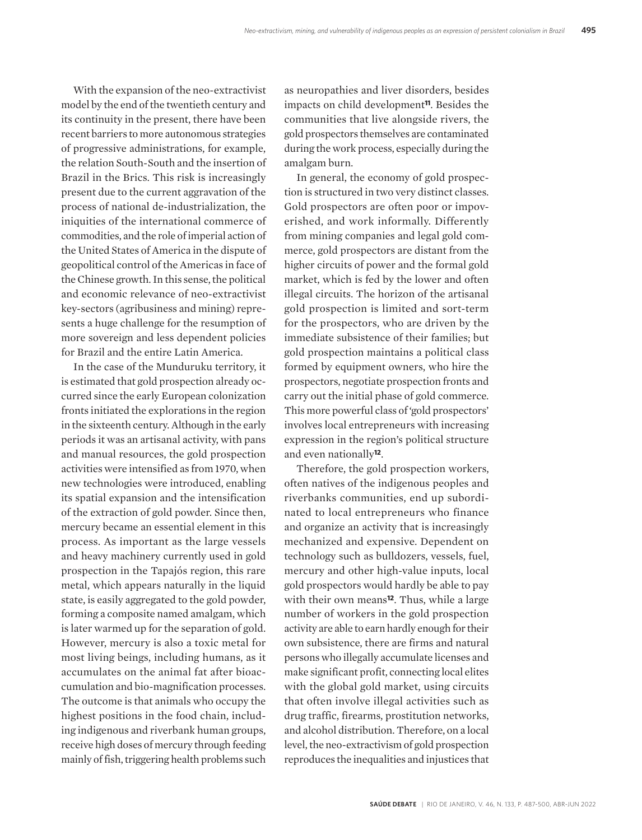With the expansion of the neo-extractivist model by the end of the twentieth century and its continuity in the present, there have been recent barriers to more autonomous strategies of progressive administrations, for example, the relation South-South and the insertion of Brazil in the Brics. This risk is increasingly present due to the current aggravation of the process of national de-industrialization, the iniquities of the international commerce of commodities, and the role of imperial action of the United States of America in the dispute of geopolitical control of the Americas in face of the Chinese growth. In this sense, the political and economic relevance of neo-extractivist key-sectors (agribusiness and mining) represents a huge challenge for the resumption of more sovereign and less dependent policies for Brazil and the entire Latin America.

In the case of the Munduruku territory, it is estimated that gold prospection already occurred since the early European colonization fronts initiated the explorations in the region in the sixteenth century. Although in the early periods it was an artisanal activity, with pans and manual resources, the gold prospection activities were intensified as from 1970, when new technologies were introduced, enabling its spatial expansion and the intensification of the extraction of gold powder. Since then, mercury became an essential element in this process. As important as the large vessels and heavy machinery currently used in gold prospection in the Tapajós region, this rare metal, which appears naturally in the liquid state, is easily aggregated to the gold powder, forming a composite named amalgam, which is later warmed up for the separation of gold. However, mercury is also a toxic metal for most living beings, including humans, as it accumulates on the animal fat after bioaccumulation and bio-magnification processes. The outcome is that animals who occupy the highest positions in the food chain, including indigenous and riverbank human groups, receive high doses of mercury through feeding mainly of fish, triggering health problems such

as neuropathies and liver disorders, besides impacts on child development**11**. Besides the communities that live alongside rivers, the gold prospectors themselves are contaminated during the work process, especially during the amalgam burn.

In general, the economy of gold prospection is structured in two very distinct classes. Gold prospectors are often poor or impoverished, and work informally. Differently from mining companies and legal gold commerce, gold prospectors are distant from the higher circuits of power and the formal gold market, which is fed by the lower and often illegal circuits. The horizon of the artisanal gold prospection is limited and sort-term for the prospectors, who are driven by the immediate subsistence of their families; but gold prospection maintains a political class formed by equipment owners, who hire the prospectors, negotiate prospection fronts and carry out the initial phase of gold commerce. This more powerful class of 'gold prospectors' involves local entrepreneurs with increasing expression in the region's political structure and even nationally**12**.

Therefore, the gold prospection workers, often natives of the indigenous peoples and riverbanks communities, end up subordinated to local entrepreneurs who finance and organize an activity that is increasingly mechanized and expensive. Dependent on technology such as bulldozers, vessels, fuel, mercury and other high-value inputs, local gold prospectors would hardly be able to pay with their own means**12**. Thus, while a large number of workers in the gold prospection activity are able to earn hardly enough for their own subsistence, there are firms and natural persons who illegally accumulate licenses and make significant profit, connecting local elites with the global gold market, using circuits that often involve illegal activities such as drug traffic, firearms, prostitution networks, and alcohol distribution. Therefore, on a local level, the neo-extractivism of gold prospection reproduces the inequalities and injustices that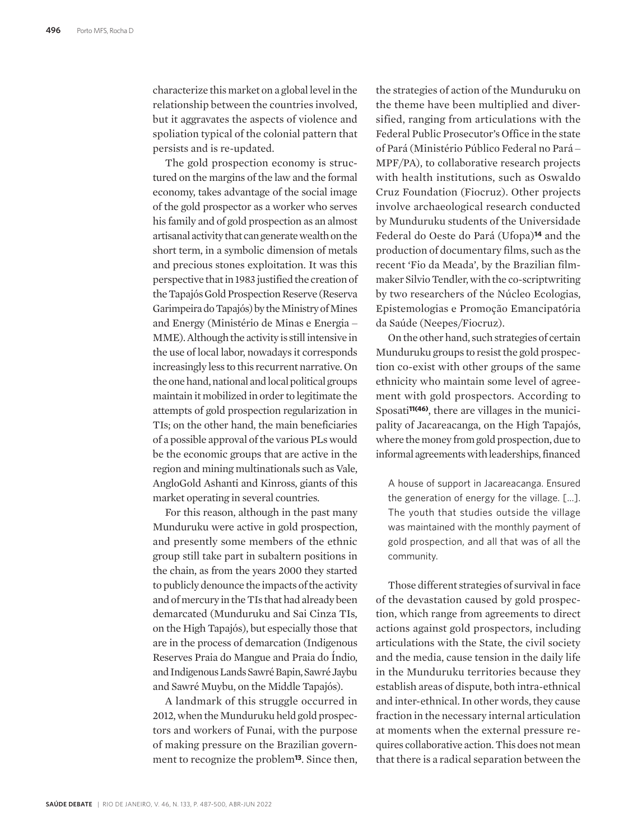characterize this market on a global level in the relationship between the countries involved, but it aggravates the aspects of violence and spoliation typical of the colonial pattern that persists and is re-updated.

The gold prospection economy is structured on the margins of the law and the formal economy, takes advantage of the social image of the gold prospector as a worker who serves his family and of gold prospection as an almost artisanal activity that can generate wealth on the short term, in a symbolic dimension of metals and precious stones exploitation. It was this perspective that in 1983 justified the creation of the Tapajós Gold Prospection Reserve (Reserva Garimpeira do Tapajós) by the Ministry of Mines and Energy (Ministério de Minas e Energia – MME). Although the activity is still intensive in the use of local labor, nowadays it corresponds increasingly less to this recurrent narrative. On the one hand, national and local political groups maintain it mobilized in order to legitimate the attempts of gold prospection regularization in TIs; on the other hand, the main beneficiaries of a possible approval of the various PLs would be the economic groups that are active in the region and mining multinationals such as Vale, AngloGold Ashanti and Kinross, giants of this market operating in several countries.

For this reason, although in the past many Munduruku were active in gold prospection, and presently some members of the ethnic group still take part in subaltern positions in the chain, as from the years 2000 they started to publicly denounce the impacts of the activity and of mercury in the TIs that had already been demarcated (Munduruku and Sai Cinza TIs, on the High Tapajós), but especially those that are in the process of demarcation (Indigenous Reserves Praia do Mangue and Praia do Índio, and Indigenous Lands Sawré Bapin, Sawré Jaybu and Sawré Muybu, on the Middle Tapajós).

A landmark of this struggle occurred in 2012, when the Munduruku held gold prospectors and workers of Funai, with the purpose of making pressure on the Brazilian government to recognize the problem**13**. Since then,

the strategies of action of the Munduruku on the theme have been multiplied and diversified, ranging from articulations with the Federal Public Prosecutor's Office in the state of Pará (Ministério Público Federal no Pará ‒ MPF/PA), to collaborative research projects with health institutions, such as Oswaldo Cruz Foundation (Fiocruz). Other projects involve archaeological research conducted by Munduruku students of the Universidade Federal do Oeste do Pará (Ufopa)**14** and the production of documentary films, such as the recent 'Fio da Meada', by the Brazilian filmmaker Silvio Tendler, with the co-scriptwriting by two researchers of the Núcleo Ecologias, Epistemologias e Promoção Emancipatória da Saúde (Neepes/Fiocruz).

On the other hand, such strategies of certain Munduruku groups to resist the gold prospection co-exist with other groups of the same ethnicity who maintain some level of agreement with gold prospectors. According to Sposati**11(46)**, there are villages in the municipality of Jacareacanga, on the High Tapajós, where the money from gold prospection, due to informal agreements with leaderships, financed

A house of support in Jacareacanga. Ensured the generation of energy for the village. [...]. The youth that studies outside the village was maintained with the monthly payment of gold prospection, and all that was of all the community.

Those different strategies of survival in face of the devastation caused by gold prospection, which range from agreements to direct actions against gold prospectors, including articulations with the State, the civil society and the media, cause tension in the daily life in the Munduruku territories because they establish areas of dispute, both intra-ethnical and inter-ethnical. In other words, they cause fraction in the necessary internal articulation at moments when the external pressure requires collaborative action. This does not mean that there is a radical separation between the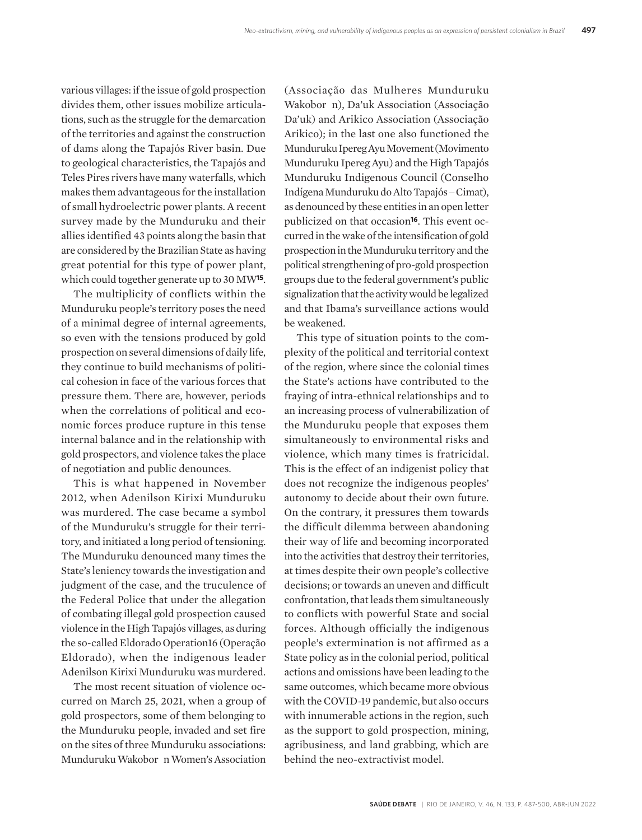various villages: if the issue of gold prospection divides them, other issues mobilize articulations, such as the struggle for the demarcation of the territories and against the construction of dams along the Tapajós River basin. Due to geological characteristics, the Tapajós and Teles Pires rivers have many waterfalls, which makes them advantageous for the installation of small hydroelectric power plants. A recent survey made by the Munduruku and their allies identified 43 points along the basin that are considered by the Brazilian State as having great potential for this type of power plant, which could together generate up to 30 MW**15**.

The multiplicity of conflicts within the Munduruku people's territory poses the need of a minimal degree of internal agreements, so even with the tensions produced by gold prospection on several dimensions of daily life, they continue to build mechanisms of political cohesion in face of the various forces that pressure them. There are, however, periods when the correlations of political and economic forces produce rupture in this tense internal balance and in the relationship with gold prospectors, and violence takes the place of negotiation and public denounces.

This is what happened in November 2012, when Adenilson Kirixi Munduruku was murdered. The case became a symbol of the Munduruku's struggle for their territory, and initiated a long period of tensioning. The Munduruku denounced many times the State's leniency towards the investigation and judgment of the case, and the truculence of the Federal Police that under the allegation of combating illegal gold prospection caused violence in the High Tapajós villages, as during the so-called Eldorado Operation16 (Operação Eldorado), when the indigenous leader Adenilson Kirixi Munduruku was murdered.

The most recent situation of violence occurred on March 25, 2021, when a group of gold prospectors, some of them belonging to the Munduruku people, invaded and set fire on the sites of three Munduruku associations: Munduruku Wakoborun Women's Association

(Associação das Mulheres Munduruku Wakobor n), Da'uk Association (Associação Da'uk) and Arikico Association (Associação Arikico); in the last one also functioned the Munduruku Ipereg Ayu Movement (Movimento Munduruku Ipereg Ayu) and the High Tapajós Munduruku Indigenous Council (Conselho Indígena Munduruku do Alto Tapajós ‒ Cimat), as denounced by these entities in an open letter publicized on that occasion**16**. This event occurred in the wake of the intensification of gold prospection in the Munduruku territory and the political strengthening of pro-gold prospection groups due to the federal government's public signalization that the activity would be legalized and that Ibama's surveillance actions would be weakened.

This type of situation points to the complexity of the political and territorial context of the region, where since the colonial times the State's actions have contributed to the fraying of intra-ethnical relationships and to an increasing process of vulnerabilization of the Munduruku people that exposes them simultaneously to environmental risks and violence, which many times is fratricidal. This is the effect of an indigenist policy that does not recognize the indigenous peoples' autonomy to decide about their own future. On the contrary, it pressures them towards the difficult dilemma between abandoning their way of life and becoming incorporated into the activities that destroy their territories, at times despite their own people's collective decisions; or towards an uneven and difficult confrontation, that leads them simultaneously to conflicts with powerful State and social forces. Although officially the indigenous people's extermination is not affirmed as a State policy as in the colonial period, political actions and omissions have been leading to the same outcomes, which became more obvious with the COVID-19 pandemic, but also occurs with innumerable actions in the region, such as the support to gold prospection, mining, agribusiness, and land grabbing, which are behind the neo-extractivist model.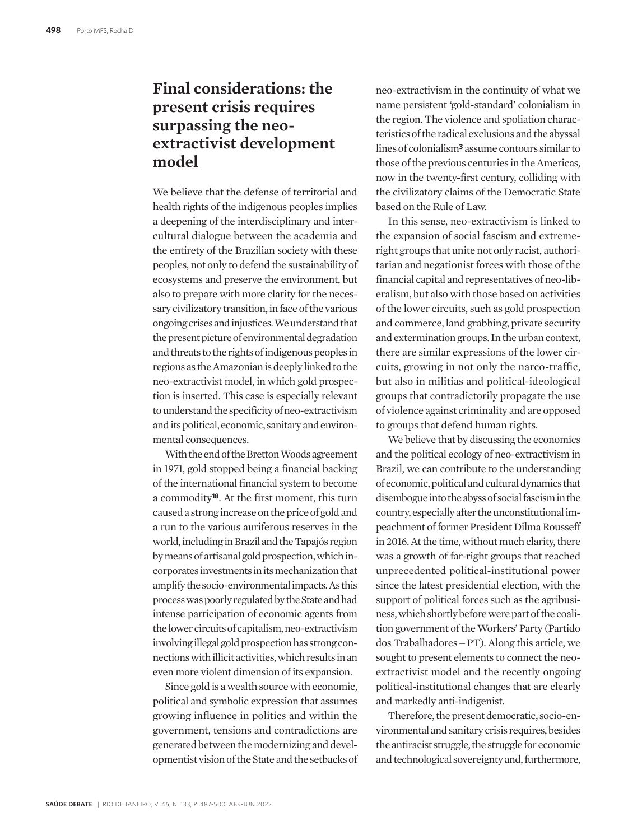#### **Final considerations: the present crisis requires surpassing the neoextractivist development model**

We believe that the defense of territorial and health rights of the indigenous peoples implies a deepening of the interdisciplinary and intercultural dialogue between the academia and the entirety of the Brazilian society with these peoples, not only to defend the sustainability of ecosystems and preserve the environment, but also to prepare with more clarity for the necessary civilizatory transition, in face of the various ongoing crises and injustices. We understand that the present picture of environmental degradation and threats to the rights of indigenous peoples in regions as the Amazonian is deeply linked to the neo-extractivist model, in which gold prospection is inserted. This case is especially relevant to understand the specificity of neo-extractivism and its political, economic, sanitary and environmental consequences.

With the end of the Bretton Woods agreement in 1971, gold stopped being a financial backing of the international financial system to become a commodity**18**. At the first moment, this turn caused a strong increase on the price of gold and a run to the various auriferous reserves in the world, including in Brazil and the Tapajós region by means of artisanal gold prospection, which incorporates investments in its mechanization that amplify the socio-environmental impacts. As this process was poorly regulated by the State and had intense participation of economic agents from the lower circuits of capitalism, neo-extractivism involving illegal gold prospection has strong connections with illicit activities, which results in an even more violent dimension of its expansion.

Since gold is a wealth source with economic, political and symbolic expression that assumes growing influence in politics and within the government, tensions and contradictions are generated between the modernizing and developmentist vision of the State and the setbacks of

neo-extractivism in the continuity of what we name persistent 'gold-standard' colonialism in the region. The violence and spoliation characteristics of the radical exclusions and the abyssal lines of colonialism**3** assume contours similar to those of the previous centuries in the Americas, now in the twenty-first century, colliding with the civilizatory claims of the Democratic State based on the Rule of Law.

In this sense, neo-extractivism is linked to the expansion of social fascism and extremeright groups that unite not only racist, authoritarian and negationist forces with those of the financial capital and representatives of neo-liberalism, but also with those based on activities of the lower circuits, such as gold prospection and commerce, land grabbing, private security and extermination groups. In the urban context, there are similar expressions of the lower circuits, growing in not only the narco-traffic, but also in militias and political-ideological groups that contradictorily propagate the use of violence against criminality and are opposed to groups that defend human rights.

We believe that by discussing the economics and the political ecology of neo-extractivism in Brazil, we can contribute to the understanding of economic, political and cultural dynamics that disembogue into the abyss of social fascism in the country, especially after the unconstitutional impeachment of former President Dilma Rousseff in 2016. At the time, without much clarity, there was a growth of far-right groups that reached unprecedented political-institutional power since the latest presidential election, with the support of political forces such as the agribusiness, which shortly before were part of the coalition government of the Workers' Party (Partido dos Trabalhadores ‒ PT). Along this article, we sought to present elements to connect the neoextractivist model and the recently ongoing political-institutional changes that are clearly and markedly anti-indigenist.

Therefore, the present democratic, socio-environmental and sanitary crisis requires, besides the antiracist struggle, the struggle for economic and technological sovereignty and, furthermore,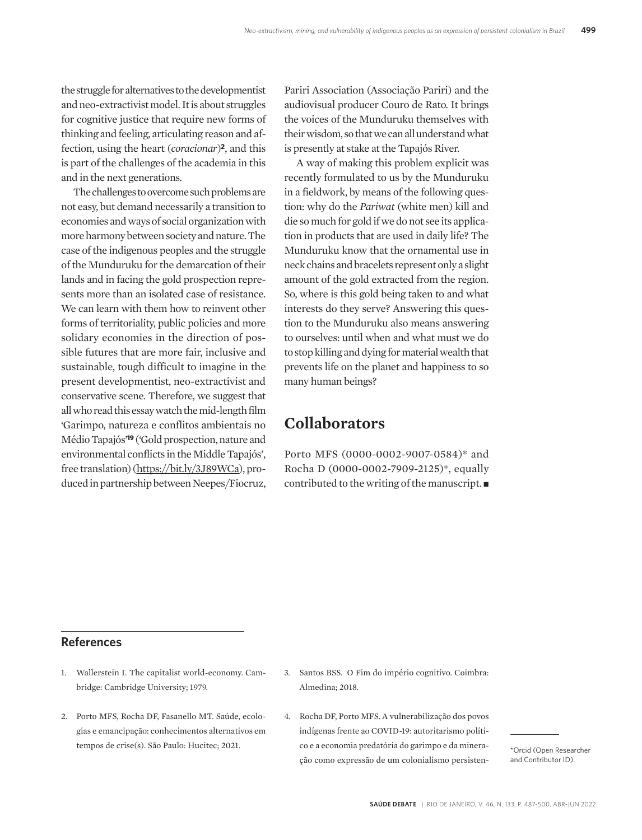the struggle for alternatives to the developmentist and neo-extractivist model. It is about struggles for cognitive justice that require new forms of thinking and feeling, articulating reason and affection, using the heart (*coracionar*)**2**, and this is part of the challenges of the academia in this and in the next generations.

The challenges to overcome such problems are not easy, but demand necessarily a transition to economies and ways of social organization with more harmony between society and nature. The case of the indigenous peoples and the struggle of the Munduruku for the demarcation of their lands and in facing the gold prospection represents more than an isolated case of resistance. We can learn with them how to reinvent other forms of territoriality, public policies and more solidary economies in the direction of possible futures that are more fair, inclusive and sustainable, tough difficult to imagine in the present developmentist, neo-extractivist and conservative scene. Therefore, we suggest that all who read this essay watch the mid-length film 'Garimpo, natureza e conflitos ambientais no Médio Tapajós'**19** ('Gold prospection, nature and environmental conflicts in the Middle Tapajós', free translation) (https://bit.ly/3J89WCa), produced in partnership between Neepes/Fiocruz,

Pariri Association (Associação Pariri) and the audiovisual producer Couro de Rato. It brings the voices of the Munduruku themselves with their wisdom, so that we can all understand what is presently at stake at the Tapajós River.

A way of making this problem explicit was recently formulated to us by the Munduruku in a fieldwork, by means of the following question: why do the *Pariwat* (white men) kill and die so much for gold if we do not see its application in products that are used in daily life? The Munduruku know that the ornamental use in neck chains and bracelets represent only a slight amount of the gold extracted from the region. So, where is this gold being taken to and what interests do they serve? Answering this question to the Munduruku also means answering to ourselves: until when and what must we do to stop killing and dying for material wealth that prevents life on the planet and happiness to so many human beings?

#### **Collaborators**

Porto MFS (0000-0002-9007-0584)\* and Rocha D (0000-0002-7909-2125)\*, equally contributed to the writing of the manuscript.  $\blacksquare$ 

#### **References**

- 1. Wallerstein I. The capitalist world-economy. Cambridge: Cambridge University; 1979.
- 2. Porto MFS, Rocha DF, Fasanello MT. Saúde, ecologias e emancipação: conhecimentos alternativos em tempos de crise(s). São Paulo: Hucitec; 2021.
- 3. Santos BSS. O Fim do império cognitivo. Coimbra: Almedina; 2018.
- 4. Rocha DF, Porto MFS. A vulnerabilização dos povos indígenas frente ao COVID-19: autoritarismo político e a economia predatória do garimpo e da mineração como expressão de um colonialismo persisten-

\*Orcid (Open Researcher and Contributor ID).